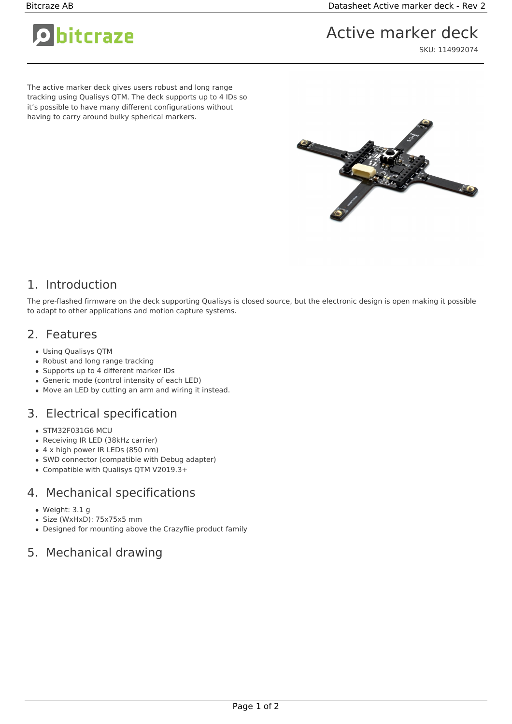O bitcraze

# Active marker deck

SKU: 114992074

The active marker deck gives users robust and long range tracking using Qualisys QTM. The deck supports up to 4 IDs so it's possible to have many different configurations without having to carry around bulky spherical markers.



## 1. Introduction

The pre-flashed firmware on the deck supporting Qualisys is closed source, but the electronic design is open making it possible to adapt to other applications and motion capture systems.

#### 2. Features

- Using Qualisys QTM
- Robust and long range tracking
- Supports up to 4 different marker IDs
- Generic mode (control intensity of each LED)
- Move an LED by cutting an arm and wiring it instead.

## 3. Electrical specification

- STM32F031G6 MCU
- Receiving IR LED (38kHz carrier)
- 4 x high power IR LEDs (850 nm)
- SWD connector (compatible with Debug adapter)
- Compatible with Qualisys QTM V2019.3+

#### 4. Mechanical specifications

- Weight: 3.1 g
- Size (WxHxD): 75x75x5 mm
- Designed for mounting above the Crazyflie product family

#### 5. Mechanical drawing